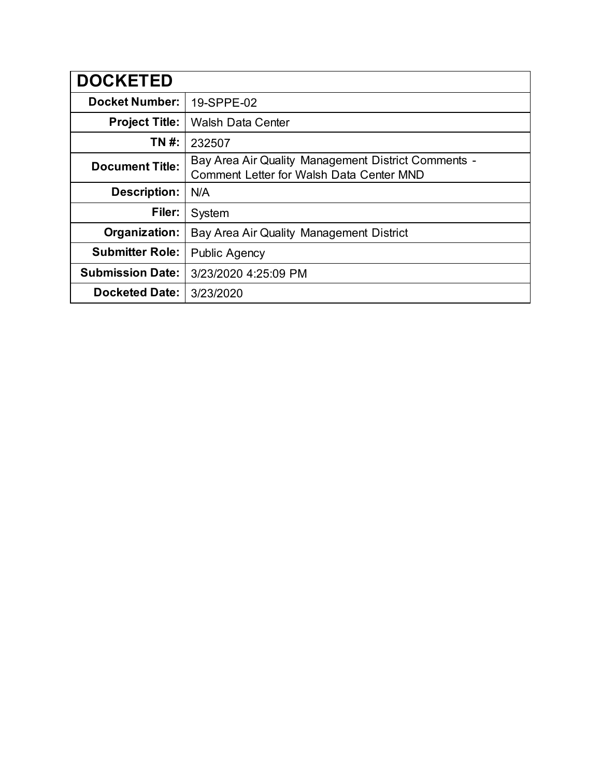| <b>DOCKETED</b>         |                                                                                                 |
|-------------------------|-------------------------------------------------------------------------------------------------|
| <b>Docket Number:</b>   | 19-SPPE-02                                                                                      |
| <b>Project Title:</b>   | <b>Walsh Data Center</b>                                                                        |
| TN #:                   | 232507                                                                                          |
| <b>Document Title:</b>  | Bay Area Air Quality Management District Comments -<br>Comment Letter for Walsh Data Center MND |
| <b>Description:</b>     | N/A                                                                                             |
| Filer:                  | System                                                                                          |
| Organization:           | Bay Area Air Quality Management District                                                        |
| <b>Submitter Role:</b>  | <b>Public Agency</b>                                                                            |
| <b>Submission Date:</b> | 3/23/2020 4:25:09 PM                                                                            |
| <b>Docketed Date:</b>   | 3/23/2020                                                                                       |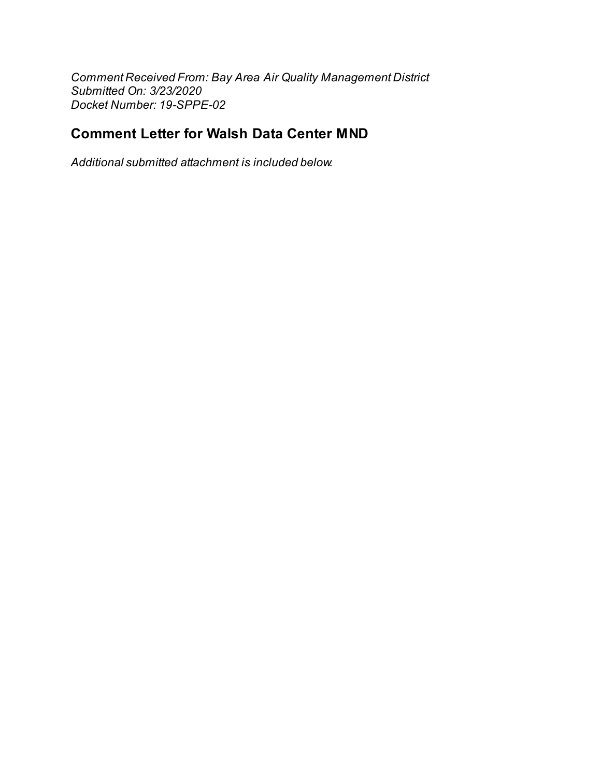*Comment Received From: Bay Area Air Quality Management District Submitted On: 3/23/2020 Docket Number: 19-SPPE-02*

## **Comment Letter for Walsh Data Center MND**

*Additional submitted attachment is included below.*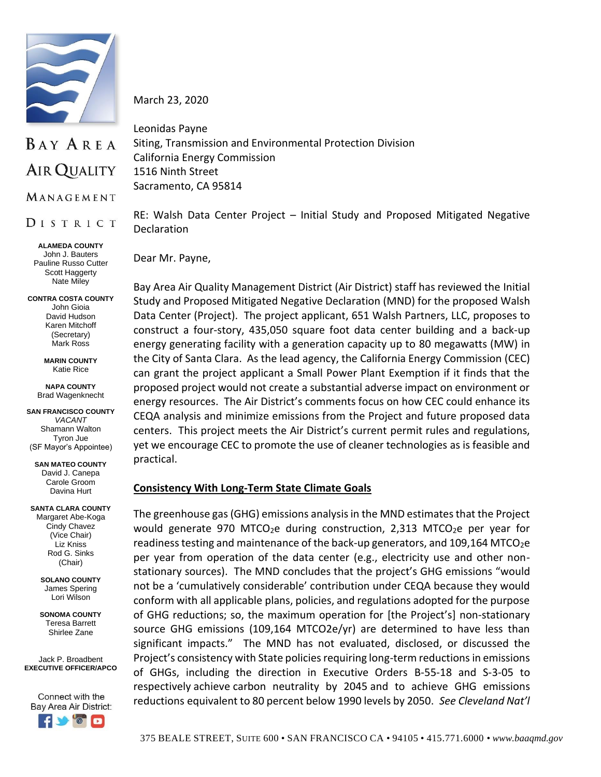

BAY AREA **AIR QUALITY** 

MANAGEMENT

DISTRICT

**ALAMEDA COUNTY** John J. Bauters Pauline Russo Cutter Scott Haggerty Nate Miley

**CONTRA COSTA COUNTY** John Gioia David Hudson Karen Mitchoff (Secretary) Mark Ross

> **MARIN COUNTY** Katie Rice

**NAPA COUNTY** Brad Wagenknecht

**SAN FRANCISCO COUNTY** *VACANT* Shamann Walton Tyron Jue (SF Mayor's Appointee)

**SAN MATEO COUNTY** David J. Canepa Carole Groom Davina Hurt

**SANTA CLARA COUNTY** Margaret Abe-Koga Cindy Chavez (Vice Chair) Liz Kniss

> (Chair) **SOLANO COUNTY** James Spering Lori Wilson

Rod G. Sinks

**SONOMA COUNTY** Teresa Barrett

Shirlee Zane

Jack P. Broadbent **EXECUTIVE OFFICER/APCO**

Connect with the Bay Area Air District:



March 23, 2020

Leonidas Payne Siting, Transmission and Environmental Protection Division California Energy Commission 1516 Ninth Street Sacramento, CA 95814

RE: Walsh Data Center Project – Initial Study and Proposed Mitigated Negative Declaration

Dear Mr. Payne,

Bay Area Air Quality Management District (Air District) staff has reviewed the Initial Study and Proposed Mitigated Negative Declaration (MND) for the proposed Walsh Data Center (Project). The project applicant, 651 Walsh Partners, LLC, proposes to construct a four-story, 435,050 square foot data center building and a back-up energy generating facility with a generation capacity up to 80 megawatts (MW) in the City of Santa Clara. As the lead agency, the California Energy Commission (CEC) can grant the project applicant a Small Power Plant Exemption if it finds that the proposed project would not create a substantial adverse impact on environment or energy resources. The Air District's comments focus on how CEC could enhance its CEQA analysis and minimize emissions from the Project and future proposed data centers. This project meets the Air District's current permit rules and regulations, yet we encourage CEC to promote the use of cleaner technologies as is feasible and practical.

## **Consistency With Long-Term State Climate Goals**

The greenhouse gas (GHG) emissions analysis in the MND estimates that the Project would generate 970 MTCO<sub>2</sub>e during construction, 2,313 MTCO<sub>2</sub>e per year for readiness testing and maintenance of the back-up generators, and 109,164 MTCO<sub>2</sub>e per year from operation of the data center (e.g., electricity use and other nonstationary sources). The MND concludes that the project's GHG emissions "would not be a 'cumulatively considerable' contribution under CEQA because they would conform with all applicable plans, policies, and regulations adopted for the purpose of GHG reductions; so, the maximum operation for [the Project's] non-stationary source GHG emissions (109,164 MTCO2e/yr) are determined to have less than significant impacts." The MND has not evaluated, disclosed, or discussed the Project's consistency with State policies requiring long-term reductions in emissions of GHGs, including the direction in Executive Orders B-55-18 and S-3-05 to respectively achieve carbon neutrality by 2045 and to achieve GHG emissions reductions equivalent to 80 percent below 1990 levels by 2050. *See Cleveland Nat'l*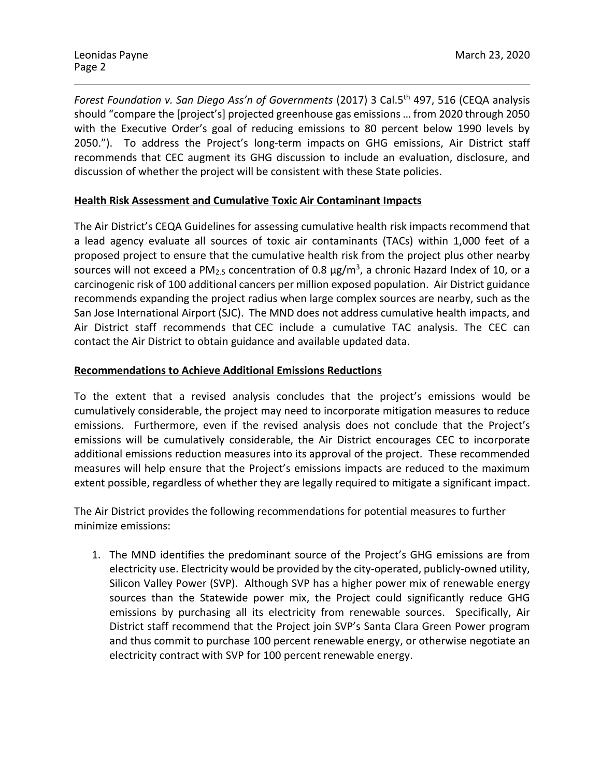*Forest Foundation v. San Diego Ass'n of Governments* (2017) 3 Cal.5<sup>th</sup> 497, 516 (CEQA analysis should "compare the [project's] projected greenhouse gas emissions … from 2020 through 2050 with the Executive Order's goal of reducing emissions to 80 percent below 1990 levels by 2050."). To address the Project's long-term impacts on GHG emissions, Air District staff recommends that CEC augment its GHG discussion to include an evaluation, disclosure, and discussion of whether the project will be consistent with these State policies.

## **Health Risk Assessment and Cumulative Toxic Air Contaminant Impacts**

The Air District's CEQA Guidelines for assessing cumulative health risk impacts recommend that a lead agency evaluate all sources of toxic air contaminants (TACs) within 1,000 feet of a proposed project to ensure that the cumulative health risk from the project plus other nearby sources will not exceed a PM<sub>2.5</sub> concentration of 0.8  $\mu$ g/m<sup>3</sup>, a chronic Hazard Index of 10, or a carcinogenic risk of 100 additional cancers per million exposed population. Air District guidance recommends expanding the project radius when large complex sources are nearby, such as the San Jose International Airport (SJC). The MND does not address cumulative health impacts, and Air District staff recommends that CEC include a cumulative TAC analysis. The CEC can contact the Air District to obtain guidance and available updated data.

## **Recommendations to Achieve Additional Emissions Reductions**

To the extent that a revised analysis concludes that the project's emissions would be cumulatively considerable, the project may need to incorporate mitigation measures to reduce emissions. Furthermore, even if the revised analysis does not conclude that the Project's emissions will be cumulatively considerable, the Air District encourages CEC to incorporate additional emissions reduction measures into its approval of the project. These recommended measures will help ensure that the Project's emissions impacts are reduced to the maximum extent possible, regardless of whether they are legally required to mitigate a significant impact.

The Air District provides the following recommendations for potential measures to further minimize emissions:

1. The MND identifies the predominant source of the Project's GHG emissions are from electricity use. Electricity would be provided by the city-operated, publicly-owned utility, Silicon Valley Power (SVP). Although SVP has a higher power mix of renewable energy sources than the Statewide power mix, the Project could significantly reduce GHG emissions by purchasing all its electricity from renewable sources. Specifically, Air District staff recommend that the Project join SVP's Santa Clara Green Power program and thus commit to purchase 100 percent renewable energy, or otherwise negotiate an electricity contract with SVP for 100 percent renewable energy.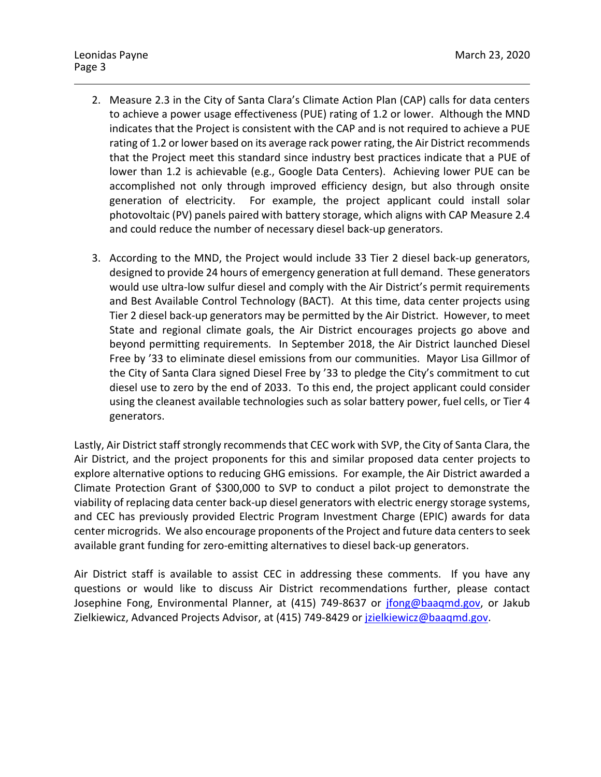- 2. Measure 2.3 in the City of Santa Clara's Climate Action Plan (CAP) calls for data centers to achieve a power usage effectiveness (PUE) rating of 1.2 or lower. Although the MND indicates that the Project is consistent with the CAP and is not required to achieve a PUE rating of 1.2 or lower based on its average rack power rating, the Air District recommends that the Project meet this standard since industry best practices indicate that a PUE of lower than 1.2 is achievable (e.g., Google Data Centers). Achieving lower PUE can be accomplished not only through improved efficiency design, but also through onsite generation of electricity. For example, the project applicant could install solar photovoltaic (PV) panels paired with battery storage, which aligns with CAP Measure 2.4 and could reduce the number of necessary diesel back-up generators.
- 3. According to the MND, the Project would include 33 Tier 2 diesel back-up generators, designed to provide 24 hours of emergency generation at full demand. These generators would use ultra-low sulfur diesel and comply with the Air District's permit requirements and Best Available Control Technology (BACT). At this time, data center projects using Tier 2 diesel back-up generators may be permitted by the Air District. However, to meet State and regional climate goals, the Air District encourages projects go above and beyond permitting requirements. In September 2018, the Air District launched Diesel Free by '33 to eliminate diesel emissions from our communities. Mayor Lisa Gillmor of the City of Santa Clara signed Diesel Free by '33 to pledge the City's commitment to cut diesel use to zero by the end of 2033. To this end, the project applicant could consider using the cleanest available technologies such as solar battery power, fuel cells, or Tier 4 generators.

Lastly, Air District staff strongly recommends that CEC work with SVP, the City of Santa Clara, the Air District, and the project proponents for this and similar proposed data center projects to explore alternative options to reducing GHG emissions. For example, the Air District awarded a Climate Protection Grant of \$300,000 to SVP to conduct a pilot project to demonstrate the viability of replacing data center back-up diesel generators with electric energy storage systems, and CEC has previously provided Electric Program Investment Charge (EPIC) awards for data center microgrids. We also encourage proponents of the Project and future data centersto seek available grant funding for zero-emitting alternatives to diesel back-up generators.

Air District staff is available to assist CEC in addressing these comments. If you have any questions or would like to discuss Air District recommendations further, please contact Josephine Fong, Environmental Planner, at (415) 749-8637 or [jfong@baaqmd.gov,](mailto:jfong@baaqmd.gov) or Jakub Zielkiewicz, Advanced Projects Advisor, at (415) 749-8429 or *jzielkiewicz@baagmd.gov.*